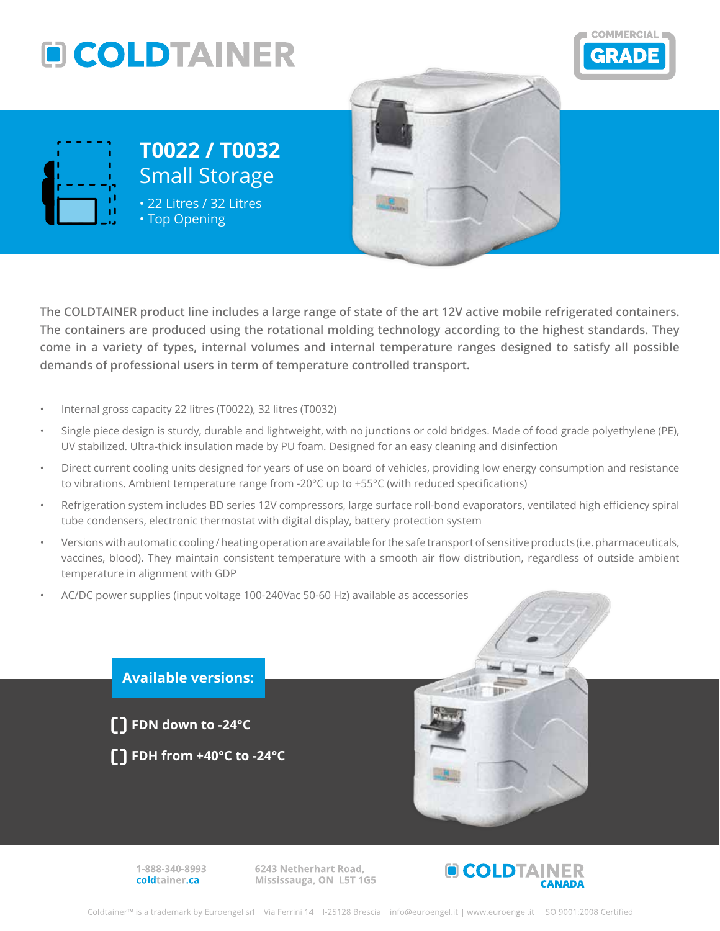





## **T0022 / T0032** Small Storage

• 22 Litres / 32 Litres • Top Opening

**The COLDTAINER product line includes a large range of state of the art 12V active mobile refrigerated containers. The containers are produced using the rotational molding technology according to the highest standards. They come in a variety of types, internal volumes and internal temperature ranges designed to satisfy all possible demands of professional users in term of temperature controlled transport.**

- Internal gross capacity 22 litres (T0022), 32 litres (T0032)
- Single piece design is sturdy, durable and lightweight, with no junctions or cold bridges. Made of food grade polyethylene (PE), UV stabilized. Ultra-thick insulation made by PU foam. Designed for an easy cleaning and disinfection
- Direct current cooling units designed for years of use on board of vehicles, providing low energy consumption and resistance to vibrations. Ambient temperature range from -20°C up to +55°C (with reduced specifications)
- Refrigeration system includes BD series 12V compressors, large surface roll-bond evaporators, ventilated high efficiency spiral tube condensers, electronic thermostat with digital display, battery protection system
- Versions with automatic cooling / heating operation are available for the safe transport of sensitive products (i.e. pharmaceuticals, vaccines, blood). They maintain consistent temperature with a smooth air flow distribution, regardless of outside ambient temperature in alignment with GDP
- AC/DC power supplies (input voltage 100-240Vac 50-60 Hz) available as accessories



1-888-340-8993 coldtainer.ca

6243 Netherhart Road, Mississauga, ON L5T 1G5



Coldtainer™ is a trademark by Euroengel srl | Via Ferrini 14 | I-25128 Brescia | info@euroengel.it | www.euroengel.it | ISO 9001:2008 Certified